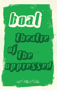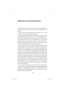## **PREFACE TO THE 1974 EDITION**

This book attempts to show that all theatre is necessarily political, because all the activities of man are political and theatre is one of them.

Those who try to separate theatre from politics try to lead us into error – and this is a political attitude.

In this book I also offer some proof that the theatre is a weapon. A very efficient weapon. For this reason one must fight for it. For this reason the ruling classes strive to take permanent hold of the theatre and utilise it as a tool for domination. In so doing, they change the very concept of what 'theatre' is. But the theatre can also be a weapon for liberation. For that, it is necessary to create appropriate theatrical forms. Change is imperative.

This work tries to show some of the fundamental changes and how the people have responded to them. 'Theatre' was the people singing freely in the open air; the theatrical performance was created by and for the people, and could thus be called dithyrambic song. It was a celebration in which all could participate freely. Then came the aristocracy and established divisions: some persons will go to the stage and only they will be able to act; the rest will remain seated, receptive, passive – these will be the spectators, the masses, the people. And in order that the spectacle may efficiently reflect the dominant ideology, the aristocracy established another division: some actors will be protagonists (aristocrats) and the rest will be the chorus – symbolising, in one way or another, the mass. Aristotle's coercive system of tragedy shows us the workings of this type of theatre.

Later came the bourgeoisie and changed these protagonists: they ceased to be objects embodying moral values, superstructural, and became multidimensional subjects, exceptional individuals, equally separated from the people, as new aristocrats – this is the poetics of *virtù* of Machiavelli.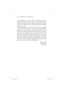Bertolt Brecht reacts to this poetics by taking the character theorised by Hegel as absolute subject and converting him back into an object. But now he is an object of social forces, not of the values of the superstructures. Social being determines thought, and not vice versa.

What was lacking to complete the cycle was what is happening at present in Latin America – the destruction of the barriers created by the ruling classes. First, the barrier between actors and spectators is destroyed: all must act, all must be protagonists in the necessary transformations of society. This is the process I describe in 'Experiments with the People's Theatre in Peru'. Then the barrier between protagonists and choruses is destroyed: all must be simultaneously chorus and protagonist – this is the 'Joker' system. Thus we arrive at the *poetics of the oppressed*, the conquest of the means of theatrical production.

> Augusto Boal Buenos Aires July 1974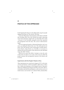**4**

# **POETICS OF THE OPPRESSED**

In the beginning the theatre was the dithyrambic song: free people singing in the open air. The carnival. The feast.

Later, the ruling classes took possession of the theatre and built their dividing walls. First, they divided the people, separating actors from spectators: people who act and people who watch – the party is over! Secondly, among the actors, they separated the protagonists from the mass. The coercive indoctrination began!

Now the oppressed people are liberated themselves and, once more, are making the theatre their own. The walls must be torn down. First, the spectator starts acting again: invisible theatre, forum theatre, image theatre, etc. Secondly, it is necessary to eliminate the private property of the characters by the individual actors: the 'Joker' System.

With the two essays that follow I attempt to close the circle of this book. In them we see some of the ways by which the people reassume their protagonistic function in the theatre and in society.

### Experiments with the People's Theatre in Peru

*These experiments were carried out in August of 1973, in the cities of Lima and Chiclayo, with the invaluable collaboration of Alicia Saco, within the programme of the Integral Literacy Operation (*Operación Alfabetización Integral *[ALFIN]), directed by Alfonso Lizarzaburu and with the participation, in the various sectors, of Estela Linares, Luis Garrido Lecca, Ramón Vilcha, and Jesús Ruiz*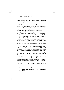*Durand. The method used by ALFIN in the literacy programme was, of course, derived from Paulo Freire.*

In 1973, the revolutionary government of Peru began a national literacy campaign called *Operación Alfabetización Integral* with the objective of eradicating illiteracy within the span of four years. It is estimated that in Peru's population of 14 million people, between 3 and 4 million are illiterate or semi-illiterate.

In any country the task of teaching an adult to read and write poses a difficult and delicate problem. In Peru the problem is magnified because of the vast number of languages and dialects spoken by its people. Recent studies point to the existence of at least 41 dialects of the two principal languages, besides Spanish, which are the Quechua and the Aymara. Research carried out in the province of Loreto in the north of the country, verified the existence of 45 different languages in that region. Forty-five *languages*, not mere dialects! And this is what is perhaps the least populated province in the country.

This great variety of languages has perhaps contributed to an understanding on the part of the organisers of ALFIN, that the illiterate are not people who are unable to express themselves: they are simply people unable to express themselves in a particular language, which in this case is Spanish. All idioms are 'languages', but there is an infinite number of languages that are not idiomatic. There are many languages besides those that are written or spoken. By learning a new language, a person acquires a new way of knowing reality and of passing that knowledge on to others. Each language is absolutely irreplaceable. All languages complement each other in achieving the widest, most complete knowledge of what is real.<sup>1</sup>

Assuming this to be true, the ALFIN project formulated two principal aims:

• to teach literacy in both the first language and in Spanish without forcing the abandonment of the former in favour of the latter;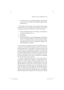• to teach literacy in all possible languages, especially the artistic ones, such as theatre, photography, puppetry, films, journalism, etc.

The training of the educators, chosen from the same regions where literacy was to be taught, was developed in four stages according to the special characteristics of each social group:

- *barrios* (neighbourhoods) or new villages, corresponding to our slums (*cantegril*, *favela*, …);
- rural areas;
- mining areas;
- areas where Spanish is not the first language, which embrace 40 per cent of the population. Of this 40 per cent, half is made up of bilingual citizens who learned Spanish after acquiring fluency in their own indigenous language. The other half speaks no Spanish.

It is too early to evaluate the results of the ALFIN plan since it is still in its early stages. What I propose to do here is to relate my personal experience as a participant in the theatrical sector and to outline the various experiments we made in considering the theatre as language, capable of being utilised by any person, with or without artistic talent. We tried to show in practice how the theatre can be placed at the service of the oppressed, so that they can express themselves and so that, by using this new language, they can also discover new concepts.

In order to understand this *poetics of the oppressed* one must keep in mind its main objective: to change the people – 'spectators', passive beings in the theatrical phenomenon – into subjects, into actors, transformers of the dramatic action. I hope that the differences remain clear. Aristotle proposes a poetics in which the spectator delegates power to the dramatic character so that the latter may act and think for him. Brecht proposes a poetics in which the spectator delegates power to the character who thus acts in his place but the spectator reserves the right to think for himself, often in opposition to the character. In the first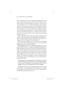case, a 'catharsis' occurs; in the second, an awakening of critical consciousness. But the *poetics of the oppressed* focuses on the action itself: the spectator delegates no power to the character (or actor) either to act or to think in his place; on the contrary, he himself assumes the protagonic role, changes the dramatic action, tries out solutions, discusses plans for change – in short, trains himself for real action. In this case, perhaps the theatre is not revolutionary in itself, but it is surely a rehearsal for the revolution. The liberated spectator, as a whole person, launches into action. No matter that the action is fictional: what matters is that it is action!

I believe that all the truly revolutionary theatrical groups should transfer to the people the means of production in the theatre so that the people themselves may utilise them. The theatre is a weapon, and it is the people who should wield it.

But how is this transference to be achieved? As an example I cite what was done by Estela Linares, who was in charge of the photography section of the ALFIN Plan.

What would be the old way to utilise photography in a literacy project? Without doubt, it would be to photograph things, streets, people, landscapes, stores, etc., then show the pictures and discuss them. But who would take these pictures? The instructors, group leaders, or coordinators. On the other hand, if we are going to give the people the means of production, it is necessary to hand over to them, in this case, the camera. This is what was done in ALFIN. The educators would give a camera to members of the study group, would teach them how to use it, and propose to them the following:

We are going to ask you some questions. For this purpose we will speak in Spanish. And you must answer us. But you can not speak in Spanish: you must speak in 'photography'. We ask you things in Spanish, which is a language. You answer us in photography, which is also a language.

The questions asked were very simple, and the answers – that is, the photos – were discussed later by the group. For example, when people were asked, where do you live?, they responded with the following types of photo-answers: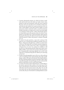- 1. A picture showing the interior of a shack. In Lima it rarely rains and for this reason the shacks are made of straw mats, instead of with more permanent walls and roofs. In general they have only one room that serves as kitchen, living room, and bedroom; the families live in great promiscuity and very often young children watch their parents engage in sexual intercourse, which commonly leads to sexual acts between brothers and sisters as young as ten or eleven years old, simply as an imitation of their parents. A photo showing the interior of a shack fully answers the question, where do you live? Every element of each photo has a special meaning, which must be discussed by the group: the objects focused on, the angle from which the picture is taken, the presence or absence of people in it, etc.
- 2. To answer the same question, a man took a picture of the bank of a river. The discussion clarified its meaning. The river Rímac, which passes through Lima, overflows at certain times of the year. This makes life on its banks extremely dangerous, since shacks are often swept away, with a consequent loss of human lives. It is also very common for children to fall into the river while playing and the rising waters make rescue difficult. When a man answers the question with that picture, he is fundamentally expressing anguish: how can he work with peace of mind knowing that his child may be drowning in the river?
- 3. Another man photographed a part of the river where pelicans come to eat garbage in times of great hunger; the people, equally hungry, capture, kill and eat the pelicans. Showing this photo, the man communicated his awareness of living in a place where ironically the people welcomed hunger, because it attracted the pelicans which then served to satisfy their hunger.
- 4. A woman who had recently emigrated from a small village in the interior answered with a picture of the main street in her *barrio*: the old natives of Lima lived on one side of the street, while those from the interior lived on the other. On one side were those who saw their jobs threatened by the newcomers; on the other, the poor who had left everything behind in search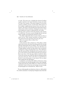of work. The street was a dividing line between brothers equally exploited, who found themselves facing each other as if they were enemies. The picture helped to reveal their common condition: poverty on both sides while pictures of the wealthier neighbourhoods showed who were their true enemies. The picture of the divided street showed the need to redirect their violent resentment. Studying the picture of her street helped the woman to understand her own reality.

5. One day a man, in answer to the same question, took a picture of a child's face. Of course everyone thought that the man had made a mistake and repeated the question to him:

'You didn't understand; what we want is that you show us where you live. Take a picture and show us where you live. Any picture; the street, the house, the town, the river.'

'Here is my answer. Here is where I live.'

'But it's a child ….'

'Look at his face: there is blood on it. This child, as all the others who live here, have their lives threatened by the rats that infest the whole bank of the river Rímac. They are protected by dogs that attack the rats and scare them away. But there was a mange epidemic and the city dog-catcher came around here catching lots of dogs and taking them away. This child had a dog who protected him. During the day his parents used to go to work and he was left with his dog. But now he doesn't have it any more. A few days ago, when you asked me where I lived, the rats had come while the child was sleeping and had eaten part of his nose. This is why there's so much blood on his face. Look at the picture; it is my answer. I live in a place where things like this still happen.'

I could write a novel about the children of the *barrios* along the river Rímac; but only photography, and no other language, could express the pain of that child's eyes, of those tears mixed with blood. And, as if the irony and outrage were not enough, the photograph was in Kodachrome, 'Made in USA.'

The use of photography may help also to discover valid symbols for a whole community or social group. It happens many times that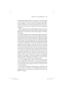well intentioned theatrical groups are unable to communicate with a mass audience because they use symbols that are meaningless for that audience. A royal crown may symbolise power, but a symbol only functions as such if its meaning is shared. For some a royal crown may produce a strong impact and yet be meaningless for others.

What is exploitation? The traditional figure of Uncle Sam is, for many social groups throughout the world, the ultimate symbol of exploitation. It expresses to perfection the rapacity of 'Yankee' imperialism.

In Lima the people were also asked, what is exploitation? Many photographs showed the grocer; others the landlord; still others, some government office. On the other hand, a child answered with the picture of a nail on a wall. For him that was the perfect symbol of exploitation. Few adults understood it, but all the other children were in complete agreement that the picture expressed their feelings in relation to exploitation. The discussion explained why. The simplest work boys engage in at the age of five or six is shining shoes. Obviously, in the *barrios* where they live there are no shoes to shine and, for this reason, they must go to downtown Lima in order to find work. Their shine-boxes and other tools of the trade are of course an absolute necessity, and yet these boys cannot be carrying their equipment back and forth every day between work and home. So they must rent a nail on the wall of some place of business, whose owner charges them two or three *soles* per night and per nail. Looking at a nail, those children are reminded of oppression and their hatred of it; the sight of a crown, Uncle Sam, or Nixon, however, probably means nothing to them.

It is easy enough to give a camera to someone who has never taken a picture before, tell him how to focus it and which button to press. With this alone the means of photographic production are in the hands of that person. But what is to be done in the case of the theatre?

The means for producing a photograph are embodied in the camera, which is relatively easy to handle, but the means of producing theatre are made up of man himself, obviously more difficult to manage.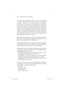We can begin by stating that the first word of the theatrical vocabulary is the human body, the main source of sound and movement. Therefore, to control the means of theatrical production, man must, first of all, control his own body, know his own body, in order to be capable of making it more expressive. Then he will be able to practise theatrical forms in which by stages he frees himself from his condition of spectator and takes on that of actor, in which he ceases to be an object and becomes a subject, is changed from witness into protagonist. The plan for transforming the spectator into actor can be systematised in the following general outline of four stages:

First stage: *Knowing the body:* a series of exercises by which one gets to know one's body, its limitations and possibilities, its social distortions and possibilities of rehabilitation.

Second stage: *Making the body expressive:* a series of games by which one begins to express one's self through the body, abandoning other, more common and habitual forms of expression.

Third stage: *The theatre as language:* one begins to practise theatre as a language that is living and present, not as a finished product displaying images from the past:

First degree: *Simultaneous dramaturgy:* the spectators 'write' simultaneously with the acting of the actors;

Second degree: *Image theatre:* the spectators intervene directly, 'speaking' through images made with the actors' bodies;

Third degree: *Forum theatre:* the spectators intervene directly in the dramatic action and act.

Fourth stage: *The theatre as discourse:* simple forms in which the spectator-actor creates 'spectacles' according to his need to discuss certain themes or rehearse certain actions.

Examples: *Newspaper theatre Invisible theatre Photo-romance theatre*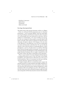*Breaking of repression Myth theatre Trial theatre Masks and rituals*

#### **First Stage: Knowing the Body**

The initial contact with a group of peasants, workers, or villagers – if they are confronted with the proposal to put on a theatrical performance – can be extremely difficult. They have quite likely never heard of theatre and if they have heard of it, their conception of it will probably have been distorted by television, with its emphasis on sentimentality, or by some travelling circus group. It is also very common for those people to associate theatre with leisure or frivolity. Thus caution is required even when the contact takes place through an educator who belongs to the same class as the illiterates or semi-illiterates, even if he lives among them in a shack and shares their comfortless life. The very fact that the educator comes with the mission of eradicating illiteracy (which presupposes a coercive, forceful action) is in itself an alienating factor between the agent and the local people. For this reason the theatrical experience should begin not with something alien to the people (theatrical techniques that are taught or imposed) but with the *bodies* of those who agree to participate in the experiment.

There is a great number of exercises designed with the objective of making each person aware of his own body, of his bodily possibilities, and of deformations suffered because of the type of work he performs. That is, it is necessary for each one to feel the 'muscular alienation' imposed on his body by work.

A simple example will serve to clarify this point: compare the muscular structure of a typist with that of the night watchman of a factory. The first performs his or her work seated in a chair: from the waist down the body becomes, during working hours, a kind of pedestal, while arms and fingers are active. The watchman, on the other hand, must walk continually during his eight-hour shift and consequently will develop muscular structures that facilitate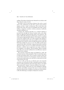walking. The bodies of both become alienated in accordance with their respective types of work.

The same is true of any person whatever the work or social status. The combination of roles that a person must perform imposes on him a 'mask' of behaviour. This is why those who perform the same roles end up resembling each other: artists, soldiers, clergymen, teachers, workers, peasants, landlords, decadent noblemen, etc.

Compare the angelical placidity of a cardinal walking in heavenly bliss through the Vatican Gardens with, on the other hand, an aggressive general giving orders to his inferiors. The former walks softly, listening to celestial music, sensitive to colours of the purest impressionistic delicacy: if by chance a small bird crosses the cardinal's path, one easily imagines him talking to the bird and addressing it with some amiable word of Christian inspiration. By contrast, it does not befit the general to talk with little birds, whether he cares to or not. No soldier would respect a general who talks to the birds. A general must talk as someone who gives orders, even if it is to tell his wife that he loves her. Likewise, a military man is expected to use spurs, whether he be a brigadier or an admiral. Thus all military officers resemble each other, just as do all cardinals; but vast differences separate generals from cardinals.

The exercises of this first stage are designed to 'undo' the muscular structure of the participants. That is, to take them apart, to study and analyse them. Not to weaken or destroy them, but to raise them to the level of consciousness. So that each worker, each peasant understands, sees, and feels to what point his body is governed by his work.

If one is able, in this way, to disjoint one's own muscular structures, one will surely be able to assemble structures characteristic of other professions and social classes; that is, one will be able to physically 'interpret' characters different from oneself.

All the exercises of this series are in fact designed to disjoint. Acrobatic and athletic exercises that serve to create muscular structures characteristic of athletes or acrobats are irrelevant here. I offer the following as examples of disjunctive exercises: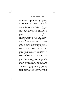- 1. *Slow motion race*. The participants are invited to run a race with the aim of losing: the last one is the winner. Moving in slow motion, the body will find its centre of gravity dislocated at each successive moment and so must find again a new muscular structure which will maintain its balance. The participants must never interrupt the motion or stand still; also they must take the longest step they can and their feet must rise above knee level. In this exercise, a 10-metre run can be more tiring than a conventional 500-metre run, for the effort needed to keep one's balance in each new position is intense.
- 2. *Cross-legged race*. The participants form pairs, embrace each other and intertwine their legs (the left of one with the right of the other, and vice versa). In the race, each pair acts as if it were a single person and each person acts as if his mate were his leg. The 'leg' doesn't move alone: it must be put in motion by its mate!
- 3. *Monster race*. 'Monsters' of four legs are formed: each person embraces the thorax of his mate but in reverse position; so that the legs of one fit around the neck of the other, forming a headless monster with four legs. The monsters then run a race.
- 4. *Wheel race*. The pairs form wheels, each one grabbing the ankles of the other, and run a race of human wheels.
- 5. *Hypnosis*. The pairs face each other and one puts his hand a few centimetres from the nose of his partner, who must keep this distance: the first one starts to move his hand in all directions, up and down, from left to right, slowly or faster, while the other moves his body in order to maintain the same distance between his nose and his partner's hand. During these movements he is forced to assume bodily positions that he never takes in his daily life, thus reforming permanently his muscular structures.

 Later, groups of three are formed: one leads and the other two follow, one at each hand of the leader. The latter can do anything – cross his arms, separate his hands, etc., while the other two must try to maintain the distance. Afterward, groups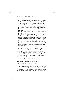of five are formed, one as leader and the other four keeping the distance in relation to the two hands and feet of the leader, while the latter can do what he pleases, even dance, etc.

- 6. *Boxing match*. The participants are invited to box, but they cannot touch each other under any circumstances; each one must fight as if he were really fighting but without touching his partner, who nevertheless must react as if he had received each blow.
- 7. *Out West*. A variation of the preceding exercises. The participants improvise a scene typical of bad Western movies, with the pianist, the swaggering young cowboy, the dancers, the drunks, the villains who come in kicking the saloon doors, etc. The whole scene is performed in silence; the participants are not allowed to touch each other, but must react to every gesture or action. For example, an *imaginary* chair is thrown against a row of bottles (also imaginary), the pieces of which fly in all directions, and the participants react to the chair, the falling bottles, etc. At the end of the scene all must engage in a free-for-all fight.

All these exercises are included in my book *200 Exercises and Games for the Actor and for the Non-actor Who Wants to Say Something Through Theater*. There are many more exercises that can be used in the same manner. In proposing exercises it's always advisable to ask the participants to describe or invent others: in this stage, the type that would serve to analyse the muscular structures of each participant. At every stage, however, the maintenance of a creative atmosphere is extremely important.

#### **Second Stage: Making the Body Expressive**

In the second stage the intention is to develop the expressive ability of the body. In our culture we are used to expressing everything through words, leaving the enormous expressive capabilities of the body in an underdeveloped state. A series of 'games' can help the participants to begin to use their bodily resources for selfexpression. I am talking about parlour games and not necessarily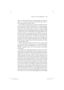those of a theatrical laboratory. The participants are invited to 'play', not to 'interpret', characters but they will 'play' better to the extent that they 'interpret' better.

For example: In one game pieces of paper containing names of animals, male and female, are distributed, one to each participant. For ten minutes, each person tries to give a physical, bodily impression of the animal named on his piece of paper. Talking or making noises that would suggest the animal is forbidden. The communication must be effected entirely through the body. After the first ten minutes, each participant must find his mate among the others who are imitating the animals, since there will always be a male and a female for each one. When two participants are convinced that they constitute a pair, they leave the stage, and the game is over when all participants find their mates through a purely physical communication, without the utilisation of words or recognisable sounds.

What is important in games of this type is not to guess right but rather that all the participants try to express themselves through their bodies, something they are not used to doing. Without realising it they will in fact be giving a 'dramatical performance'.

I remember one of these games played in a slum area, when a man drew the name *hummingbird*. Not knowing how to express it physically, he remembered nevertheless that this bird flies very rapidly from one flower to another, stops and sucks on a flower while producing a peculiar sound. So with his hands the man imitated the frenetic wings of the hummingbird and, 'flying' from participant to participant, halted before each one of them making that sound. After ten minutes, when it was time for him to look for his mate, this man looked all around him and found no one who seemed to be enough of a hummingbird to attract him. Finally he saw a tall, fat man who was making a pendular movement with his hands and, setting aside his doubts, decided that there was his beloved mate; he went straight to 'her', making turns around 'her' and throwing little kisses to the air while singing joyfully. The fat man, upset, tried to escape, but the other fellow went after him, more and more in love with his hummingbird mate and singing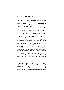with ever more amorous glee. Finally, though convinced that the other man was not his mate, the fat one – while the others roared with laughter – decided to follow his persistent suitor off stage simply to end the ordeal. Then (for only then were they allowed to talk) the first man, full of joy, cried out:

'I am the male hummingbird, and you are the female? Isn't that right?'

The fat one, very discouraged, looked at him and said: 'No, dummy, I'm the bull ….'

How the fat man could give an impression of a delicate hummingbird while trying to portray a bull, we will never know. But, no matter: what does matter is that for 15 or 20 minutes all those people tried to 'speak' with their bodies.

This type of game can be varied *ad infinitum*; the slips of paper can bear, for example, the names of occupations or professions. If the participants depict an animal, it will perhaps have little to do with their ideology. But if a peasant is called upon to act as a landlord; a worker, the owner of a factory; or if a woman must portray a policeman, all their ideology counts and finds physical expression through the game. The names of the participants themselves may be written on slips of paper, requiring them to convey impressions of each other and thus revealing, physically, their opinions and mutual criticisms.

In this stage, as in the first, regardless of how many games one proposes to the participants, the latter should always be encouraged to invent other games and not to be passive recipients of an entertainment that comes from the outside.

#### **Third Stage: The Theatre as Language**

This stage is divided into three parts, each one representing a different degree of direct participation of the spectator in the performance. The spectator is encouraged to intervene in the action, abandoning his condition of object and assuming fully the role of subject. The two preceding stages are preparatory, centring around the work of the participants with their own bodies. Now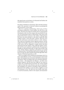this stage focuses on the theme to be discussed and furthers the transition from passivity to action.

First degree: *Simultaneous dramaturgy*: This is the first invitation made to the spectator to intervene without necessitating his physical presence on the 'stage'.

Here it is a question of performing a short scene, of 10 to 20 minutes, proposed by a local resident, one who lives in the *barrio*. The actors may improvise with the aid of a script prepared beforehand, as they may also compose the scene directly. In any case, the performance gains in theatricality if the person who proposed the theme is present in the audience. Having begun the scene, the actors develop it to the point at which the main problem reaches a crisis and needs a solution. Then the actors stop the performance and ask the audience to offer solutions. They improvise immediately all the suggested solutions, and the audience has the right to intervene, to correct the actions or words of the actors, who are obligated to comply strictly with these instructions from the audience. Thus, while the audience 'writes' the work the actors perform it simultaneously. The spectator's thoughts are discussed theatrically on stage with the help of the actors. All the solutions, suggestions, and opinions are revealed in theatrical form. The discussion itself need not simply take the form of words, but rather should be effected through all the other elements of theatrical expression as well.

Here's an example of how simultaneous dramaturgy works. In a *barrio* of San Hilariòn, in Lima, a woman proposed a controversial theme. Her husband, some years before, had told her to keep some 'documents' which, according to him, were extremely important. The woman – who happened to be illiterate – put them away without suspicion. One day they had a fight for one reason or another and, remembering the documents, the woman decided to find out what they were all about, since she was afraid they had something to do with the ownership of their small house. Frustrated in her inability to read, she asked a neighbour to read the documents to her. The lady next door kindly made haste to read the documents, which to the surprise and amusement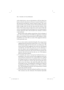of the whole *barrio*, were not documents at all, but rather love letters written by the mistress of the poor woman's husband. Now this betrayed and illiterate woman wanted revenge. The actors improvised the scenes until the moment when the husband returns home at night, after his wife has uncovered the mystery of the letters. The woman wants revenge: how is she to get it? Here the action is interrupted and the participant who was interpreting the woman asked the others what should be her attitude in relation to her husband.

All the women of the audience entered into a lively exchange of views. The actors listened to the different suggestions and acted them out according to instructions given by the audience. All the possibilities were tried. Here are some of the suggested solutions in this particular case:

- 1. To cry a lot in order to make him feel guilty. One young woman suggested that the betrayed woman start to cry a lot so that the husband might feel bad about his own behaviour. The actress carried out this suggestion: she cried a lot, the husband consoled her, and when the crying was over he asked her to serve his dinner; and everything remained as it was before. The husband assured her that he had already forgotten the mistress, that he loved only his wife, etc., etc. The audience did not accept this solution.
- 2. To abandon the house, leaving her husband alone as a punishment. The actress carried out this suggestion and, after reproaching her husband for his wicked behaviour, grabbed her things, put them in a bag, and left him alone, very lonely, so that he would learn a lesson. But upon leaving the house (that is, her own house), she asked the public about what she should do next. In punishing her husband she ended up punishing herself. Where would she go now? Where could she live? This punishment positively was not good since it turned against the punisher, herself.
- 3. To lock the house so that the husband would have to go away. This variation was also rehearsed. The husband repeatedly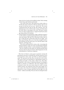begs to be let in, but the wife steadfastly refused. After insisting several times, the husband commented:

 'Very well, I'll go away. They paid me my salary today, so I'll take the money and go live with my mistress and you can just get by the best way you can.' And he left. The actress commented that she did not like this solution, since the husband went to live with the other woman, and what about the wife? How is she going to live now? The poor woman does not make enough money to support herself and cannot get along without her husband.

4. The last solution was presented by a large, exuberant woman; it was the solution accepted unanimously by the entire audience, men and women. She said: 'Do it like this: let him come in, get a really big stick, and hit him with all your might – give him a good beating. After you've beat him enough for him to feel repentant, put the stick away, serve him his dinner with affection, and forgive him ….'

 The actress performed this version, after overcoming the natural resistance of the actor who was playing the husband, and after a barrage of blows – to the amusement of the audience – the two of them sat at the table, ate, and discussed the latest measures taken by the government, which happened to be the nationalisation of American companies.

This form of theatre creates great excitement among the participants and starts to demolish the wall that separates actors from spectators. Some 'write' and others act almost simultaneously. The spectators feel that they can intervene in the action. The action ceases to be presented in a deterministic manner, as something inevitable, as Fate. Man is Man's fate. Thus Manthe-spectator is the creator of Man-the-character. Everything is subject to criticism, to rectification. All can be changed, and at a moment's notice: the actors must always be ready to accept, without protest, any proposed action; they must simply act it out, to give a live view of its consequences and drawbacks. Any spectator, by virtue of being a spectator, has the right to try his version – without censorship. The actor does not change his main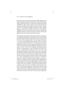function: he goes on being the interpreter. What changes is the object of his interpretation. If formerly he interpreted the solitary author locked in his study, to whom divine inspiration dictated a finished text, here on the contrary, he must interpret the mass audience, assembled in their local committees, societies of 'friends of the barrio', groups of neighbours, schools, unions, peasant leagues, or whatever; he must give expression to the collective thought of men and women. The actor ceases to interpret the individual and starts to interpret the group, which is much more difficult and at the same time much more creative.

Second degree: *Image theatre:* Here the spectator has to participate more directly. He is asked to express his views on a certain theme of common interest that the participants wish to discuss. The theme can be far-reaching, abstract – as, for example, imperialism – or it can be a local problem such as the lack of water, a common occurrence in almost all the *barrios*. The participant is asked to express his opinion, but without speaking, using only the bodies of the other participants and 'sculpting' with them a group of statues, in such a way that his opinions and feelings become evident. The participant is to use the bodies of the others as if he were a sculptor and the others were made of clay: he must determine the position of each body down to the most minute details of their facial expressions. He is not allowed to speak under any circumstances. The most that is permitted to him is to show with his own facial expressions what he wants the statue-spectator to do. After organising this group of statues he is allowed to enter into a discussion with the other participants in order to determine if all agree with his 'sculpted' opinion. Modifications can be rehearsed: the spectator has the right to modify the statues in their totality or in some detail. When finally an image is arrived at that is the most acceptable to all, then the spectator-sculptor is asked to show the way he would like the given theme to be; that is, in the first grouping the *actual image* is shown, in the second the *ideal image*. Finally he is asked to show a *transitional image*, to show how it would be possible to pass from one reality to the other. In other words, how to carry out the change, the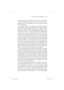transformation, the revolution, or whatever term one wishes to use. Thus, starting with a grouping of 'statues' accepted by all as representative of a real situation, each one is asked to propose ways of changing it.

Once again, a concrete example can best clarify the matter. A young woman, a literacy agent who lived in the village of Otuzco, was asked to explain, through a grouping of live images, what her home town was like. In Otuzco, before the present Revolutionary Government,<sup>2</sup> there was a peasant rebellion; the landlords (that no longer exist in Peru), imprisoned the leader of the rebellion, took him to the main square, and, in front of everyone, castrated him. The young woman from Otuzco composed the image of the castration, placing one of the participants on the ground while another pretended to be castrating him and still another held him from behind. Then at one side she placed a woman praying, on her knees, and at the other side a group of five men and women, also on their knees, with hands tied behind their backs. Behind the man being castrated, the young woman placed another participant in a position obviously suggestive of power and violence and, behind him, two armed men pointing their guns at the prisoner.

This was the image that person had of her village. A terrible, pessimistic, defeatist image, but also a true reflection of something that had actually taken place. Then the young woman was asked to show what she would want her village to be like. She modified completely the 'statues' of the group and regrouped them as people who worked in peace and loved each other – in short, a happy and contented, ideal Otuzco. Then came the third, and most important part, of this form of theatre: how can one, starting with the actual image, arrive at the ideal image? How to bring about the change, the transformation, the revolution?

Here it was a question of giving an opinion, but without words. Each participant had the right to act as a 'sculptor' and to show how the grouping, or organisation, could be modified through a reorganisation of forces for the purpose of arriving at an ideal image. Each one expressed his opinion through imagery. Lively discussions arose, but without words. When one would exclaim, 'It's not possible like this; I think that …', he was immediately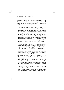interrupted: 'Don't say what you think; come and show it to us.' The participant would go and demonstrate physically, visually, his thought, and the discussion would continue. In this particular case the following variations were observed:

- 1. When a young woman from the interior was asked to form the image of change, she would never change the image of the kneeling woman, signifying clearly that she did not see in that woman a potential force for revolutionary change. Naturally the young women identified themselves with that feminine figure and, since they could not perceive themselves as possible protagonists of the revolution, they left unmodified the image of the kneeling woman. On the other hand, when the same thing was asked of a girl from Lima, she, being more 'liberated', would start off by changing precisely that image with which she identified herself. This experiment was repeated many times and always produced the same results, without variation. Undoubtedly the different patterns of action represent not chance occurrence but the sincere, visual expression of the ideology and psychology of the participants. The young women from Lima always modified the image: some would make the woman clasp the figure of the castrated man, others would prompt the woman to fight against the castrator, etc. Those from the interior did little more than allow the woman to lift her hands in prayer.
- 2. All the participants who believed in the Revolutionary Government would start by modifying the armed figures in the background: they changed the two men who were aiming their guns at the victim so that they would then aim at the powerful figure in the centre or at the castrators themselves. On the other hand, when a participant did not have the same faith in his government, he would alter all figures except the armed ones.
- 3. The people who believed in magical solutions or in a 'change of conscience' on the part of the exploiting classes, would start by modifying the castrators – viewing them in effect as changing of their own volition  $-$  as well as the powerful figure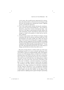in the centre, who would become regenerated. By contrast, those who did not believe in this form of social change would first alter the kneeling men, making them assume a fighting posture, attacking the oppressors.

- 4. One of the young women, besides showing the transformations to be the work of the kneeling men – who would free themselves, attack their torturers and imprison them – also had one of the figures representing the people address the other participants, clearly expressing her opinion that social changes are made by the people as a whole and not only by their vanguard.
- 5. Another young woman made all kinds of changes, leaving untouched only the five persons with their hands tied. This girl belonged to the upper middle class. When she showed signs of nervousness for not being able to imagine any further changes, someone suggested to her the possibility of changing the group of tied figures; the girl looked at them in surprise and exclaimed: 'The truth is that those people didn't fit in! ...' It was the truth. The people did not fit into her view of the scheme of things, and she had never before been able to see it.

This form of image theatre is without doubt one of the most stimulating, because it is so easy to practise and because of its extraordinary capacity for making thought *visible*. This happens because use of the language idiom is avoided. Each word has a denotation that is the same for all, but it also has a connotation that is unique for each individual. If I utter the word 'revolution', obviously everyone will realise that I am talking about a radical change, but at the same time each person will think of his or her 'own' revolution, a personal conception of revolution. But if I have to arrange a group of statues that will signify 'my revolution', here there will be no denotation-connotation dichotomy. The image synthesises the individual connotation and the collective denotation. In my arrangement signifying revolution, what are the statues doing? Do they have weapons in their hands or do they have ballots? Are the figures of the people united in a fighting posture against the figures representing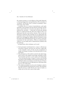the common enemies; or are the figures of the people dispersed, or showing disagreement among themselves? My conception of 'revolution' will become clear if, instead of speaking, I show with images what I think.

I remember that in a session of psychodrama a girl spoke repeatedly of the problems she had with her boyfriend, and she always started with more or less the same phrase: 'He came in, embraced me, and then ….' Each time we heard this opening phrase we understood that they did in fact embrace; that is, we understood what the word *embrace* denotes. Then one day she showed by acting how their meetings were: he approached, she crossed her arms over her breasts as if protecting herself, he took hold of her and hugged her tightly, while she continued to keep her hands closed, defending herself. That was clearly a particular connotation for the word *embrace*. When we understood her 'embrace' we were finally able to understand her problems with her boyfriend.

In image theatre other techniques can be used:

- 1. Each participant transformed into a statue is allowed one movement or gesture, and only one, each time a signal (like a clap of hands) is given. In this case the arrangement of images will change according to the individual desire of each participant.
- 2. The participants are first asked to memorise the ideal image, then to return to the original, actual image, and finally to make the movements necessary to arrive again at the ideal image – thus showing the group of images in motion and allowing the analysis of the feasibility of the proposed transitions. One will then be able to see if change occurs by the grace of God or if it is brought about by the opposing forces operating within the very core of the group.
- 3. The sculptor-participant, once his work is finished, is asked to try to place himself in the group he has created. This sometimes helps the person to realise that his own vision of reality is a cosmic one, as if he were a part of that reality.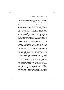The game of images offers many other possibilities. The important thing is always to analyse the feasibility of the change.

Third degree: *Forum theatre:* This is the last degree and here the participant has to intervene decisively in the dramatic action and change it. The procedure is as follows: First, the participants are asked to tell a story containing a political or social problem of difficult solution. Then a 10- or 15-minute skit portraying that problem and the solution intended for discussion is improvised or rehearsed, and subsequently presented. When the skit is over, the participants are asked if they agree with the solution presented. At least some will say no. At this point it is explained that the scene will be performed once more, exactly as it was the first time. But now any participant in the audience has the right to replace any actor and lead the action in the direction that seems to him most appropriate. The displaced actor steps aside, but remains ready to resume action the moment the participant considers his own intervention to be terminated. The other actors have to face the newly created situation, responding instantly to all the possibilities that it may present.

The participants who choose to intervene must continue the physical actions of the replaced actors; they are not allowed to come on the stage and talk, talk, talk: they must carry out the same type of work or activities performed by the actors who were in their place. The theatrical activity must go on in the same way, on the stage. Anyone may propose any solution, but it must be done on the stage, working, acting, doing things, and not from the comfort of his seat. Often a person is very revolutionary when in a public forum he envisages and advocates revolutionary and heroic acts; on the other hand, he often realises that things are not so easy when he himself has to practise what he suggests.

An example: An 18-year-old man worked in the city of Chimbote, one of the world's most important fishing ports. There are in that city a great number of factories of fish meal, a principal export product of Peru. Some factories are very large, while others have only eight or nine employees. Our young man worked for one of the latter. The boss was a ruthless exploiter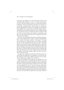and forced his employees to work from eight o'clock in the morning to eight at night, or vice versa – twelve consecutive hours of work. Thus the problem was how to combat this inhuman exploitation. Each participant had a proposal: one of them was, for example, 'operation turtle', which consists in working very slowly, especially when the boss is not looking. Our young man had a brilliant idea: to work faster and fill the machine with so much fish that it would break with the excessive weight, requiring two or three hours to fix it. During this time the workers could rest. There was the problem, the employer's exploitation; and there was one solution, invented by native ingenuity. But would that be the best solution?

The scene was performed in the presence of all the participants. Some actors represented the workers, another represented the boss, another the foreman, another a 'stool pigeon'. The stage was converted into a fish meal factory: one worker unloading the fish, another weighing the bags of fish, another carrying the bags to the machines, another tending the machine, while still others performed other pertinent tasks. While they worked, they kept up a dialogue, proposing solutions and discussing them until they came to accept the solution proposed by the young man and broke the machine; the boss came and the workers rested while the engineer repaired the machine. When the repair was done, they went back to work.

The scene was staged for the first time and the question was raised: Were all in agreement? No, definitely not. On the contrary, they disagreed. Each one had a different proposal: to start a strike, throw a bomb at the machine, start a union, etc.

Then the technique of forum theatre was applied: the scene would be staged exactly as it had been the first time, but now each spectator-participant would have the right to intervene and change the action, trying out his proposal. The first to intervene was the one who suggested the use of a bomb. He got up, replaced the actor who was portraying the young man, and made his bombthrowing proposal. Of course all the other actors argued against it since that would mean the destruction of the factory, and therefore the source of work. What would become of so many workers if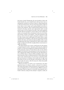the factory closed? Disagreeing, the man decided to throw the bomb himself, but soon realised that he did not know how to manufacture a bomb nor even how to throw it. Many people who in theoretical discussions advocate throwing bombs would not know what to do in reality, and would probably be the first to perish in the explosion. After trying his bomb-solution, the man returned to his place and the actor replaced him until a second person came to try his solution, the strike. After much argument with the others he managed to convince them to stop working and walk out, leaving the factory abandoned. In this case, the owner, the foreman, and the 'stool pigeon', who had remained in the factory, went to the town square (among the audience) to look for other workers who would replace the strikers (there is mass unemployment in Chimbote). This spectator-participant tried his solution, the strike, and realised its impracticability; with so much unemployment the bosses would always be able to find workers hungry enough and with little enough political consciousness to replace the strikers.

The third attempt was to form a small union for the purpose of negotiating the workers' demands, politicising the employed workers, as well as the unemployed, setting up mutual funds, etc. In this particular session of forum theatre, this was the solution judged to be the best by the participants. In the forum theatre no idea is imposed: the audience, the people, have the opportunity to try out all their ideas, to rehearse all the possibilities, and to verify them in practice, that is, in theatrical practice. If the audience had come to the conclusion that it was necessary to dynamite all the fish meal factories in Chimbote, this would also be right from their point of view. It is not the place of the theatre to show the correct path, but only to offer the means by which all possible paths may be examined.

Maybe the theatre in itself is not revolutionary, but these theatrical forms are without a doubt a *rehearsal of revolution*. The truth of the matter is that the spectator-actor practises a real act even though he does it in a fictional manner. While he *rehearses* throwing a bomb on stage, he is concretely rehearsing the way a bomb is thrown; acting out his attempt to organise a strike, he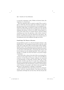is concretely organising a strike. Within its fictitious limits, the experience is a concrete one.

Here the cathartical effect is entirely avoided. We are used to plays in which the characters make the revolution on stage and the spectators in their seats feel themselves to be triumphant revolutionaries. Why make a revolution in reality if we have already made it in the theatre? But that does not happen here: the rehearsal stimulates the practice of the act in reality. Forum theatre, as well as these other forms of a people's theatre, instead of taking something away from the spectator, evoke in him a desire to practise in reality the act he has rehearsed in the theatre. The practice of these theatrical forms creates a sort of uneasy sense of incompleteness that seeks fulfilment through real action.

#### **Fourth Stage: The Theatre as Discourse**

George Ikishawa used to say that the bourgeois theatre is the finished theatre. The bourgeoisie already knows what the world is like, *their* world, and is able to present images of this complete, finished world. The bourgeoisie presents the spectacle. On the other hand, the proletariat and the oppressed classes do not know yet what their world will be like; consequently their theatre will be the rehearsal, not the finished spectacle. This is quite true, though it is equally true that the theatre can present images of transition.

I have been able to observe the truth of this view during all my activities in the people's theatre of so many and such different countries of Latin America. Popular audiences are interested in experimenting, in rehearsing, and they abhor the 'closed' spectacles. In those cases they try to enter into a dialogue with the actors, to interrupt the action, to ask for explanations without waiting politely for the end of the play. Contrary to the bourgeois code of manners, the people's code allows and encourages the spectator to ask questions, to dialogue, to participate.

All the methods that I have discussed are forms of a rehearsaltheatre, and not a spectacle-theatre. One knows how these experiments will begin but not how they will end, because the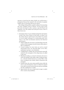spectator is freed from his chains, finally acts, and becomes a protagonist. Because they respond to the real needs of a popular audience they are practised with success and joy.

But nothing in this prohibits a popular audience from practising also more 'finished' forms of theatre. In Peru many forms previously developed in other countries, especially Brazil and Argentina, were also utilised and with great success. Some of these forms were:

- 1. *Newspaper theatre*. It was initially developed by the Nucleus Group of the Arena Theatre of São Paulo, of which I was the artistic director until forced to leave Brazil.3 It consists of several simple techniques for transforming daily news items, or any other non-dramatic material, into theatrical performances.
	- Simple reading: the news item is read detaching it from the context of the newspaper, from the format which makes it false or tendentious.
	- Crossed reading: two news items are read in crossed (alternating) form, one throwing light on the other, explaining it, giving it a new dimension.
	- Complementary reading: data and information generally omitted by the newspapers of the ruling classes are added to the news.
	- Rhythmical reading: as a musical commentary, the news is read to the rhythm of the samba, tango, Gregorian chant, etc., so that the rhythm functions as a critical 'filter' of the news, revealing its true content, which is obscured in the newspaper.
	- Parallel action: the actors mime parallel actions while the news is read, showing the context in which the reported event really occurred; one hears the news and sees something else that complements it visually.
	- Improvisation: the news is improvised on stage to exploit all its variants and possibilities.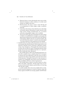- Historical: data or scenes showing the same event in other historical moments, in other countries, or in other social systems, are added to the news.
- Reinforcement: the news is read or sung with the aid or accompaniment of slides, jingles, songs, or publicity materials.
- Concretion of the abstract: that which the news often hides in its purely abstract information is made concrete on the stage: torture, hunger, unemployment, etc., are shown concretely, using graphic images, real or symbolic.
- Text out of context: the news is presented out of the context in which it was published; for example, an actor gives the speech about austerity previously delivered by the Minister of Economics while he devours an enormous dinner: the real truth behind the minister's words becomes demystified – he wants austerity for the people but not for himself.
- 2. *Invisible theatre:* It consists of the presentation of a scene in an environment other than the theatre, before people who are not spectators. The place can be a restaurant, a sidewalk, a market, a train, a line of people, etc. The people who witness the scene are those who are there by chance. During the spectacle, these people must not have the slightest idea that it is a 'spectacle', for this would make them 'spectators'.

The invisible theatre calls for the detailed preparation of a skit with a complete text or a simple script; but it is necessary to rehearse the scene sufficiently so that the actors are able to incorporate into their acting and their actions the intervention of the spectators. During the rehearsal it is also necessary to include every imaginable intervention from the spectators; these possibilities will form a kind of optional text.

The invisible theatre erupts in a location chosen as a place where the public congregates. All the people who are near become involved in the eruption and the effects of it last long after the skit is ended.

A small example shows how the invisible theatre works. In the enormous restaurant of a hotel in Chiclayo, where the literacy agents of ALFIN were staying, together with 400 other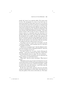people, the 'actors' sit at separate tables. The waiters start to serve. The 'protagonist' in a more or less loud voice (to attract the attention of other diners, but not in a too obvious way) informs the waiter that he cannot go on eating the food served in that hotel, because in his opinion it is too bad. The waiter does not like the remark but tells the customer that he can choose something *à la* carte, which he may like better. The actor chooses a dish called 'Barbecue *à la* pauper'. The waiter points out that it will cost him 70 *soles*, to which the actor answers, always in a reasonably loud voice, that there is no problem. Minutes later the waiter brings him the barbecue, the protagonist eats it rapidly and gets ready to get up and leave the restaurant, when the waiter brings the bill. The actor shows a worried expression and tells the people at the next table that his barbecue was much better than the food they are eating, but the pity is that one has to pay for it.

'I'm going to pay for it; don't have any doubts. I ate the "barbecue *à la* pauper" and I'm going to pay for it. But there is a problem: I'm broke.'

'And how are you going to pay?' asks the indignant waiter. 'You knew the price before ordering the barbecue. And now, how are you going to pay for it?'

The diners nearby are, of course, closely following the dialogue – much more attentively than they would if they were witnessing the scene on a stage. The actor continues:

'Don't worry, because I *am* going to pay you. But since I'm broke I will pay you with labour-power.'

'With what?' asks the waiter, astonished. 'What kind of power?'

'With labour-power, just as I said. I am broke but I can rent you my labour-power. So I'll work doing something for as long as it's necessary to pay for my "barbecue *à la* pauper", which, to tell the truth, was really delicious – much better than the food you serve to those poor souls ….'

By this time some of the customers intervene and make remarks among themselves at their tables, about the price of food, the quality of the service in the hotel, etc. The waiter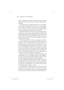calls the headwaiter to decide the matter. The actor explains again to the latter the business of renting his labour-power and adds:

'And besides, there is another problem: I'll rent my labourpower but the truth is that I don't know how to do anything, or very little. You will have to give me a very simple job to do. For example, I can take out the hotel's garbage. What's the salary of the garbage man who works for you?'

The headwaiter does not want to give any information about salaries, but a second actor at another table is already prepared and explains that he and the garbage man have gotten to be friends and that the latter has told him his salary: seven *soles* per hour. The two actors make some calculations and the 'protagonist' exclaims:

'How is this possible! If I work as a garbage man I'll have to work ten hours to pay for this barbecue that it took me ten minutes to eat? It can't be! Either you increase the salary of the garbage man or reduce the price of the barbecue! … But I can do something more specialised; for example, I can take care of the hotel gardens, which are so beautiful, so well cared for. One can see that a very talented person is in charge of the gardens. How much does the gardener of this hotel make? I'll work as a gardener! How many hours work in the garden are necessary to pay for the "barbecue *à la* pauper"?'

A third actor, at another table, explains his friendship with the gardener, who is an immigrant from the same village as he; for this reason he knows that the gardener makes ten *soles* per hour. Again the 'protagonist' becomes indignant:

'How is this possible? So the man who takes care of these beautiful gardens, who spends his days out there exposed to the wind, the rain, and the sun, has to work seven long hours to be able to eat the barbecue in ten minutes? How can this be, Mr. Headwaiter? Explain it to me!'

The headwaiter is already in despair; he dashes back and forth, gives orders to the waiters in a loud voice to divert the attention of the other customers, alternately laughs and becomes serious, while the restaurant is transformed into a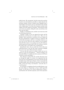public forum. The 'protagonist' asks the waiter how much he is paid to serve the barbecue and offers to replace him for the necessary number of hours. Another actor, originally from a small village in the interior, gets up and declares that nobody in his village makes 70 *soles* per day; therefore nobody in his village can eat the 'barbecue *à la* pauper'. (The sincerity of this actor, who was, besides, telling the truth, moved those who were near his table.)

Finally, to conclude the scene, another actor intervenes with the following proposition:

'Friends, it looks as if we are against the waiter and the headwaiter and this does not make sense. They are our brothers. They work like us, and they are not to blame for the prices charged here. I suggest we take up a collection. We at this table are going to ask you to contribute whatever you can, one *sol*, two *soles*, five *soles*, whatever you can afford. And with that money we are going to pay for the barbecue. And be generous, because what is left over will go as a tip for the waiter, who is our brother and a working man.'

Immediately those who are with him at the table start collecting money to pay the bill. Some customers willingly give one or two *soles*. Others furiously comment:

'He says that the food we're eating is junk, and now he wants us to pay for his barbecue! ... And am I going to eat this junk? Hell no? I wouldn't give him a peanut, so he'll learn a lesson! Let him wash dishes ….'

The collection reached 100 *soles* and the discussion went on through the night. It is always very important that the actors do not reveal themselves to be actors! On this rests the *invisible* nature of this form of theatre. And it is precisely this invisible quality that will make the spectator act freely and fully, as if he were living a real situation – and, after all, it is a real situation!

It is necessary to emphasise that the invisible theatre is not the same thing as a 'happening' or the so-called 'guerrilla theatre'. In the latter we are clearly talking about 'theatre', and therefore the wall that separates actors from spectators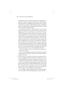immediately arises, reducing the spectator to impotence: a spectator is always less than a man! In the invisible theatre the theatrical rituals are abolished; only the theatre exists, without its old, worn-out patterns. The theatrical energy is completely liberated, and the impact produced by this free theatre is much more powerful and longer lasting.

Several presentations of invisible theatre were made in different locations in Peru. Particularly interesting is what happened at the Carmen Market, in the *barrio* of Comas, some 14 kilometres away from downtown Lima. Two actresses were protagonists in a scene enacted at a vegetable stand. One of them, who was pretending to be illiterate, insisted that the vendor was cheating her, taking advantage of the fact that she did not know how to read; the other actress checked the figures, finding them to be correct, and advised the 'illiterate' one to register in one of ALFIN's literacy courses. After some discussion about the best age to start one's studies, about what to study and with whom, the first actress kept on insisting that she was too old for those things. It was then that a little old woman, leaning on her cane, very indignantly shouted:

'My dears, that's not true? For learning and making love one is never too old!'

Everyone witnessing the scene broke into laughter at the old woman's amorous outburst, and the actresses were unable to continue the scene.

3. *Photo-romance:* In many Latin American countries there is a genuine epidemic of photo-romances, sub-literature on the lowest imaginable level, which furthermore always serves as a vehicle for the ruling classes' ideology. The technique here consists in reading to the participants the general lines in the plot of a photo-romance without telling them the source of this plot. The participants are asked to act out the story. Finally, the acted-out story is compared to the story as it is told in the photo-romance, and the differences are discussed.

For example: a rather stupid story taken from Corín Tellado, the worst author of this brutalising genre, started like this: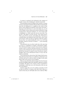A woman is waiting for her husband in the company of another woman who is helping her with the housework.

The participants acted according to their customs: a woman at home expecting her husband will naturally be preparing the meal; the one helping her is a neighbour, who comes to chat about various things; the husband comes home tired after a long day's work; the house is a one-room shack, etc., etc. In Corín Tellado, on the contrary, the woman is dressed in a long evening gown, with pearl necklaces, etc.; the woman who is helping her is a black maid who says no more than 'Yes, ma'am'; 'The dinner is served, ma'am'; 'Very well, ma'am'; 'Here comes Mr. X, ma'am'; and nothing else. The house is a marble palace; the husband comes home after a day's work in his factory, where he had an argument with the workers because they, 'not understanding the crisis we are all living through, wanted an increase in salaries …', and continuing in this vein.

This particular story was sheer trash, but at the same time it served as a magnificent example of ideological insight. The well-dressed woman received a letter from an unknown woman, went to visit her, and discovered her to be a former mistress of her husband; the mistress stated that the husband had left her because he wanted to marry the factory owner's daughter, that is, the well-dressed woman. To top it all, the mistress exclaimed:

'Yes, he betrayed me, deceived me. But I forgive him because, after all, he has always been very ambitious, and he knew very well that with me he could not climb very high. On the other hand, with you he can go very far indeed!'

That is to say, the former mistress forgave her lover because he had in the highest degree that capitalistic eagerness to possess everything. The desire to be a factory owner is presented as something so noble that even a few betrayals on the way up are to be forgiven.

And the young wife, not to be outdone, pretends to be ill so that he will have to remain at her side, and so that, as a result of this trick, he will finally fall in love with her. What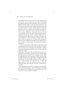an ideology! This love story is crowned with a happy ending rotten to the core. Of course the story, when told without the dialogues and acted out by peasants, takes on an entirely different meaning. When at the end of the performance, the participants are told the origin of the plot they have just acted out, they experience a shock. And this must be understood: when they read Corín Tellado they immediately assume the passive role of 'spectators'; but if they first of all have to act out a story themselves, afterwards, when they do read Corín Tellado's version, they will no longer assume a passive, expectant attitude, but instead a critical, comparative one. They will look at the lady's house, and compare it to their own, at the husband's or wife's attitudes and compare them with those of their own spouses, etc. And they will be prepared to detect the poison infiltrating the pages of those photo-stories, or the comics and other forms of cultural and ideological domination.

I was overjoyed when, months after the experiments with the educators, back in Lima, I was informed that the residents of several *barrios* were using that same technique to analyse television programmes, an endless source of poison directed against the people.

4. *Breaking of repression:* The dominant classes crush the dominated ones through repression; the old crush the young through repression; certain races subjugate certain others through repression. Never through a cordial understanding, through an honest interchange of ideas, through criticism and autocriticism. No. The ruling classes, the old, the 'superior' races, or the masculine sex, have their sets of values and impose them by force, by unilateral violence, upon the oppressed classes, the young, the races they consider inferior, or women.

The capitalist does not ask the working man if he agrees that the capital should belong to one and the labour to another; he simply places an armed policeman at the factory door and that is that – private property is decreed.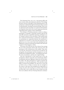The dominated class, race, sex, or age group suffers the most constant, daily, and omnipresent repression. The ideology becomes concrete in the figure of the dominated person. The proletariat is exploited through the domination that is exerted on all proletarians. Sociology becomes psychology. There is not an oppression by the masculine sex in general of the feminine sex in general: what exists is the concrete oppression that men (individuals) direct against women (individuals).

The technique of breaking repression consists in asking a participant to remember a particular moment when he felt especially repressed, accepted that repression, and began to act in a manner contrary to his own desires. That moment must have a deep personal meaning: I, a proletarian, am oppressed; we proletarians are oppressed; therefore the proletariat is oppressed. It is necessary to pass from the particular to the general, not vice versa, and to deal with something that has happened to someone in particular, but which at the same time is typical of what happens to others.

The person who tells the story also chooses from among the rest of the participants all the other characters who will participate in the reconstruction of the incident. Then, after receiving the information and directions provided by the protagonist, the participants and the protagonist act out the incident just as it happened in reality – recreating the same scene, the same circumstances, and the same original feelings.

Once the 'reproduction' of the actual event is over, the protagonist is asked to repeat the scene, but this time without accepting the repression, fighting to impose his will, his ideas, his wishes. The other participants are urged to maintain the repression as in the first performance. The clash that results helps to measure the possibility one often has to resist and yet fails to do so; it helps to measure the true strength of the enemy. It also gives the protagonist the opportunity of trying once more and carrying out, in fiction, what he had not been able to do in reality. But we have already seen that this is not cathartic: the fact of having rehearsed a resistance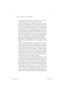to oppression will prepare him to resist effectively in a future reality, when the occasion presents itself once more.

On the other hand, it is necessary to take care that the generic nature of the particular case under study be understood. In this type of theatrical experiment the particular instance must serve as the point of departure, but it is indispensable to reach the general. The process to be realised, during the actual performance or afterward during the discussion, is one that ascends from the *phenomenon* toward the *law*; from the phenomena presented in the plot toward the social laws that govern those phenomena. The spectator-participants must come out of this experience enriched with the knowledge of those laws, obtained through analysis of the phenomena.

5. *Myth theatre:* It is simply a question of discovering the obvious behind the myth: to logically tell a story, revealing its evident truths.

In a place called Motupe there was a hill, almost a mountain, with a narrow road that led through the trees to the top; halfway to the top stood a cross. One could go as far as that cross: to go beyond it was dangerous; it inspired fear, and the few who had tried had never returned. It was believed that some sanguinary ghosts inhabited the top of the mountain. But the story is also told of a brave young man who armed himself and climbed to the top, where he found the 'ghosts'. They were in reality some Americans who owned a gold mine located precisely on the top of that mountain.

Another legend is that of the lagoon of Cheken. It is said that there was no water there and that all the peasants, having to travel for several kilometres to get a glass of water, were dying of thirst. Today a lagoon exists there, the property of a local landowner. How did that lagoon spring up and how did it become the property of one man? The legend explains it. When there was still no water, on a day of intense heat all the villagers were lamenting and praying to God to grant them even a tiny stream of water. But God did not have pity on that arid village. At midnight of the same day, however, a man dressed in a long black poncho and riding a black horse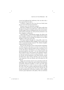arrived and addressed the landowner, who was then only a poor peasant like the others:

'I will give a lagoon for all of you, but *you*, friend, must give me your most precious possession.'

The poor man, very distressed, moaned:

'But I have nothing; I am very poor. We all here suffer from the lack of water, live in miserable shacks, suffer from the most terrible hunger. We have nothing precious, not even our lives. And myself in particular, my only precious possession is my three daughters, nothing else.'

'And of the three', responded the stranger, 'the oldest is the most beautiful. I will give you a lagoon filled with the freshest water of all Peru; but in exchange you will give me your oldest daughter so that I may marry her.'

The future landlord thought for a long while, cried a lot, and asked his frightened eldest daughter if she would accept such an unusual marriage proposal. The obedient daughter expressed herself in this way:

'If it is for the salvation of all, so that the thirst and hunger of all the peasants will come to an end, if it is so that you may have a lagoon with the freshest water of all Peru, if it is so that that lagoon will belong to you alone and bring you personal prosperity and riches – for you will be able to sell this wonderful water to the peasants, who will find it cheaper to buy from you than to travel so many kilometres – if it is for all this, tell the gentleman in the black poncho, astride his black horse, that I will go with him, even if in my heart I am suspicious of his true identity and of the places he will take me.'

Happy and contented, and of course somewhat tearful, the kind father went to inform the man in black of the decision, meanwhile asking the daughter to make some little signs showing the price of a litre of water, in order to expedite the work. The man in black undressed the girl, for he did not want to take anything from that house besides the girl herself, and placed her on his horse, which set off at a gallop toward a great depression in the plains. Then an enormous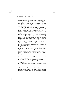explosion was heard, and a large cloud of smoke remained in the very place where the horse, horseman, and naked girl had disappeared. From the huge hole that had been made in the ground, a spring started to flow and formed the lagoon with the freshest water of all Peru.

This myth no doubt hides a truth: the landlord took possession of what did not belong to him. If formerly the noblemen attributed to God the granting of their property and rights, today explanations no less magical are still used. In this case, the property of the lagoon was explained by the loss of the eldest daughter, the landlord's most precious possession – a transaction took place! And serving as a reminder of that, the legend said that on the nights of the new moon one could hear the girl singing at the bottom of the lagoon, still naked and combing her long hair with a beautiful golden comb …. Yes, the truth is that for the landlord the lagoon was like gold.

The myths told by the people should be studied and analysed and their hidden truths revealed. In this task the theatre can be extraordinarily useful.

- 6. *Analytical theatre:* A story is told by one of the participants and immediately the actors improvise it. Afterward each character is broken down into all his social roles and the participants are asked to choose a physical object to symbolise each role. For example, a policeman killed a chicken thief. The policeman is analysed:
	- he is a worker because he rents his labour-power; symbol: a pair of overalls;
	- he is a bourgeois because he protects private property and values it more than human life; symbol: a necktie, or a top hat, etc.;
	- he is a repressive agent because he is a policeman; symbol: a revolver.

This is continued until the participants have analysed all his roles: head of a family (symbol: the wallet, for example), member of a fraternal order, etc., etc. It is important that the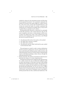symbols be chosen by the participants present and that they not be imposed 'from above'. For a particular community the symbol for the head of the family might be a wallet, because he is the person who controls the household finances, and in this way controls the family. For another community this symbol may not communicate anything, that is, it may not be a symbol; then an armchair may be chosen ….

Having analysed the character, or characters (it is advisable to limit this operation to the central characters only, for the sake of simplicity and clarity), a fresh attempt to tell the story is made, but taking away some of the symbols from each character, and consequently some social roles as well. Would the story be exactly the same if:

- the policeman did not have the top hat or the necktie?
- the robber had a top hat or necktie?
- the robber had a revolver?
- the policeman and the robber both had the same symbol for the fraternal order?

The participants are asked to make varying combinations and the proposed combinations must be performed by the actors and criticised by all those present. In this way they will realise that human actions are not the exclusive and primordial result of individual psychology: almost always, through the individual speaks his class!

7. *Rituals and masks:* The relations of production (infrastructure) determine the culture of a society (superstructure).

Sometimes the infrastructure changes but the superstructure for a while remains the same. In Brazil the landlords would not allow the peasants to look them in the face while talking with them: this would mean lack of respect. The peasants were accustomed to talking with the landlords only while staring at the ground and murmuring: 'yes, sir; yes, sir; yes, sir'. When the government decreed an agrarian reform (before 1964, date of the fascist *coup d'état*) its emissaries went to the fields to tell the peasants that now they could become landowners. The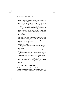peasants, staring at the ground, murmured: 'yes, friend; yes, friend; yes, friend'. A feudalistic culture had totally permeated their lives. The relationships of the peasant with the landlord were entirely different from those with the agent of the Institute of Agrarian Reform, but the ritual remained unchanged.

This particular technique of a people's theatre ('Rituals and masks') consists precisely in revealing the superstructures, the rituals which reify all human relationships, and the masks of behaviour that those rituals impose on each person according to the roles he plays in society and the rituals he must perform.

A very simple example: a man goes to a priest to confess his sins. How will he do it? Of course, he will kneel, confess his sins, hear the penitence, cross himself, and leave. But do all men confess always in the same way before all priests? Who is the man, and who is the priest?

In this case we need two versatile actors to stage the same confession four times:

First scene: the priest and the parishioner are landlords;

Second scene: the priest is a landlord and the parishioner is a peasant;

Third scene: the priest is a peasant and the parishioner is a landlord;

Fourth scene: the priest and the parishioner are peasants.

The ritual is the same in each instance, but the different social masks will cause the four scenes to be different also.

This is an extraordinarily rich technique which has countless variants: the same ritual changing masks; the same ritual performed by people of one social class, and later by people of another class; exchange of masks within the same ritual; etc., etc.

## Conclusion: 'Spectator', a Bad Word!

Yes, this is without a doubt the conclusion: 'Spectator' is a bad word! The spectator is less than a man and it is necessary to humanise him, to restore to him his capacity of action in all its